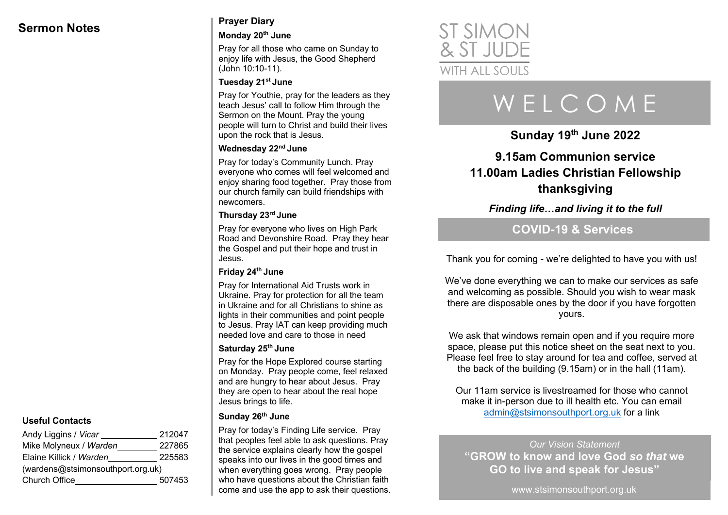# **Sermon Notes Prayer Diary**

### **Monday 20th June**

Pray for all those who came on Sunday to enjoy life with Jesus, the Good Shepherd (John 10:10-11).

#### **Tuesday 21st June**

Pray for Youthie, pray for the leaders as they teach Jesus' call to follow Him through the Sermon on the Mount. Pray the young people will turn to Christ and build their lives upon the rock that is Jesus.

# **Wednesday 22nd June**

Pray for today's Community Lunch. Pray everyone who comes will feel welcomed and enjoy sharing food together. Pray those from our church family can build friendships with newcomers.

### **Thursday 23rd June**

Pray for everyone who lives on High Park Road and Devonshire Road. Pray they hear the Gospel and put their hope and trust in Jesus.

## **Friday 24th June**

Pray for International Aid Trusts work in Ukraine. Pray for protection for all the team in Ukraine and for all Christians to shine as lights in their communities and point people to Jesus. Pray IAT can keep providing much needed love and care to those in need

## **Saturday 25th June**

Pray for the Hope Explored course starting on Monday. Pray people come, feel relaxed and are hungry to hear about Jesus. Pray they are open to hear about the real hope Jesus brings to life.

#### **Sunday 26th June**

Pray for today's Finding Life service. Pray that peoples feel able to ask questions. Pray the service explains clearly how the gospel speaks into our lives in the good times and when everything goes wrong. Pray people who have questions about the Christian faith come and use the app to ask their questions.



# W E L C O M E

**Sunday 19th June 2022**

# **9.15am Communion service 11.00am Ladies Christian Fellowship thanksgiving**

*Finding life…and living it to the full*

# **COVID-19 & Services**

Thank you for coming - we're delighted to have you with us!

We've done everything we can to make our services as safe and welcoming as possible. Should you wish to wear mask there are disposable ones by the door if you have forgotten yours.

We ask that windows remain open and if you require more space, please put this notice sheet on the seat next to you. Please feel free to stay around for tea and coffee, served at the back of the building (9.15am) or in the hall (11am).

Our 11am service is livestreamed for those who cannot make it in-person due to ill health etc. You can email admin@stsimonsouthport.org.uk for a link

*Our Vision Statement* **"GROW to know and love God** *so that* **we GO to live and speak for Jesus"**

www.stsimonsouthport.org.uk

# **Useful Contacts**

| Andy Liggins / <i>Vicar</i>       | 212047 |
|-----------------------------------|--------|
| Mike Molyneux / Warden            | 227865 |
| Elaine Killick / Warden           | 225583 |
| (wardens@stsimonsouthport.org.uk) |        |
| Church Office                     | 507453 |